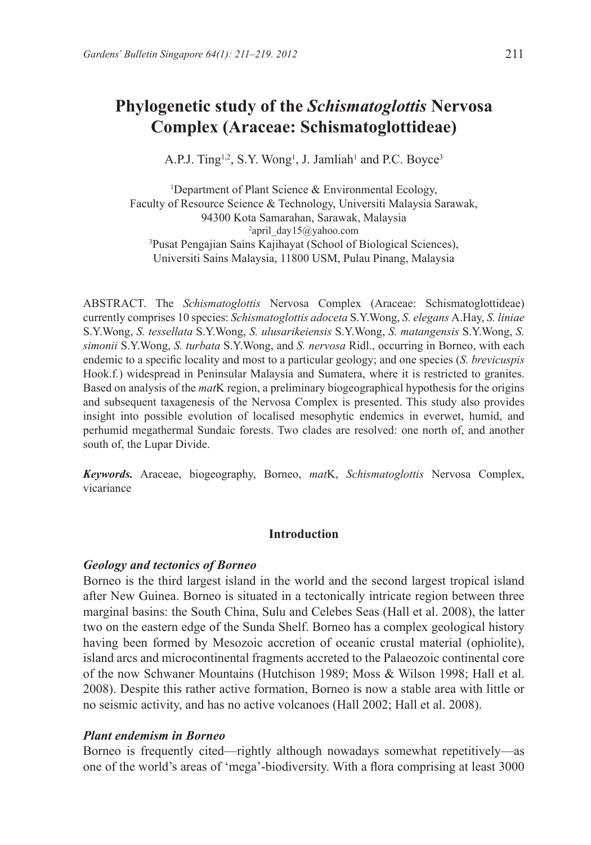# **Phylogenetic study of the** *Schismatoglottis* **Nervosa Complex (Araceae: Schismatoglottideae)**

A.P.J. Ting<sup>1,2</sup>, S.Y. Wong<sup>1</sup>, J. Jamliah<sup>1</sup> and P.C. Boyce<sup>3</sup>

1 Department of Plant Science & Environmental Ecology, Faculty of Resource Science & Technology, Universiti Malaysia Sarawak, 94300 Kota Samarahan, Sarawak, Malaysia 2 april\_day15@yahoo.com 3 Pusat Pengajian Sains Kajihayat (School of Biological Sciences), Universiti Sains Malaysia, 11800 USM, Pulau Pinang, Malaysia

ABSTRACT. The *Schismatoglottis* Nervosa Complex (Araceae: Schismatoglottideae) currently comprises 10 species: *Schismatoglottis adoceta* S.Y.Wong, *S. elegans* A.Hay, *S. liniae*  S.Y.Wong, *S. tessellata* S.Y.Wong, *S. ulusarikeiensis* S.Y.Wong, *S. matangensis* S.Y.Wong, *S. simonii* S.Y.Wong, *S. turbata* S.Y.Wong, and *S. nervosa* Ridl., occurring in Borneo, with each endemic to a specific locality and most to a particular geology; and one species (*S. brevicuspis* Hook.f*.*) widespread in Peninsular Malaysia and Sumatera, where it is restricted to granites. Based on analysis of the *mat*K region, a preliminary biogeographical hypothesis for the origins and subsequent taxagenesis of the Nervosa Complex is presented. This study also provides insight into possible evolution of localised mesophytic endemics in everwet, humid, and perhumid megathermal Sundaic forests. Two clades are resolved: one north of, and another south of, the Lupar Divide.

*Keywords.* Araceae, biogeography, Borneo, *mat*K, *Schismatoglottis* Nervosa Complex, vicariance

## **Introduction**

### *Geology and tectonics of Borneo*

Borneo is the third largest island in the world and the second largest tropical island after New Guinea. Borneo is situated in a tectonically intricate region between three marginal basins: the South China, Sulu and Celebes Seas (Hall et al. 2008), the latter two on the eastern edge of the Sunda Shelf. Borneo has a complex geological history having been formed by Mesozoic accretion of oceanic crustal material (ophiolite), island arcs and microcontinental fragments accreted to the Palaeozoic continental core of the now Schwaner Mountains (Hutchison 1989; Moss & Wilson 1998; Hall et al. 2008). Despite this rather active formation, Borneo is now a stable area with little or no seismic activity, and has no active volcanoes (Hall 2002; Hall et al. 2008).

#### *Plant endemism in Borneo*

Borneo is frequently cited—rightly although nowadays somewhat repetitively—as one of the world's areas of 'mega'-biodiversity. With a flora comprising at least 3000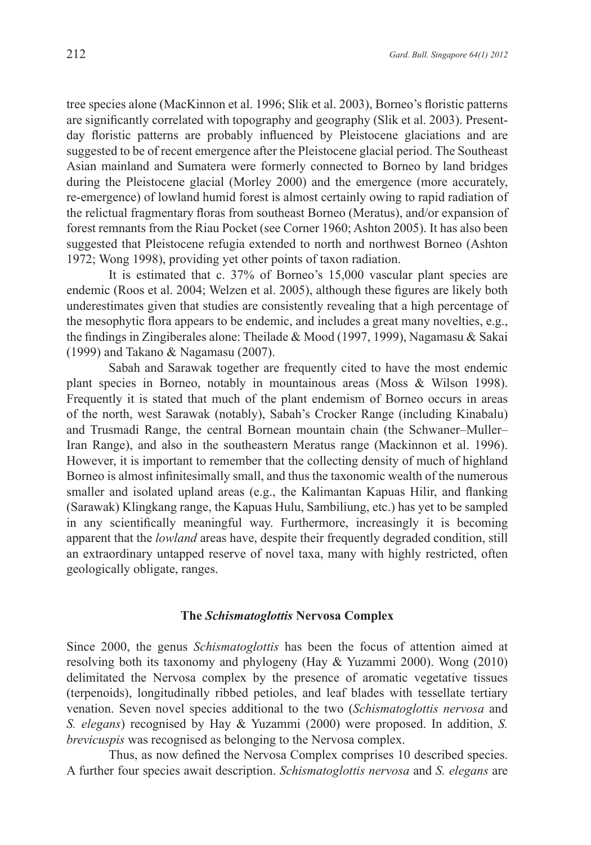tree species alone (MacKinnon et al. 1996; Slik et al. 2003), Borneo's floristic patterns are significantly correlated with topography and geography (Slik et al. 2003). Presentday floristic patterns are probably influenced by Pleistocene glaciations and are suggested to be of recent emergence after the Pleistocene glacial period. The Southeast Asian mainland and Sumatera were formerly connected to Borneo by land bridges during the Pleistocene glacial (Morley 2000) and the emergence (more accurately, re-emergence) of lowland humid forest is almost certainly owing to rapid radiation of the relictual fragmentary floras from southeast Borneo (Meratus), and/or expansion of forest remnants from the Riau Pocket (see Corner 1960; Ashton 2005). It has also been suggested that Pleistocene refugia extended to north and northwest Borneo (Ashton 1972; Wong 1998), providing yet other points of taxon radiation.

It is estimated that c. 37% of Borneo's 15,000 vascular plant species are endemic (Roos et al. 2004; Welzen et al. 2005), although these figures are likely both underestimates given that studies are consistently revealing that a high percentage of the mesophytic flora appears to be endemic, and includes a great many novelties, e.g., the findings in Zingiberales alone: Theilade & Mood (1997, 1999), Nagamasu & Sakai (1999) and Takano & Nagamasu (2007).

Sabah and Sarawak together are frequently cited to have the most endemic plant species in Borneo, notably in mountainous areas (Moss & Wilson 1998). Frequently it is stated that much of the plant endemism of Borneo occurs in areas of the north, west Sarawak (notably), Sabah's Crocker Range (including Kinabalu) and Trusmadi Range, the central Bornean mountain chain (the Schwaner–Muller– Iran Range), and also in the southeastern Meratus range (Mackinnon et al. 1996). However, it is important to remember that the collecting density of much of highland Borneo is almost infinitesimally small, and thus the taxonomic wealth of the numerous smaller and isolated upland areas (e.g., the Kalimantan Kapuas Hilir, and flanking (Sarawak) Klingkang range, the Kapuas Hulu, Sambiliung, etc.) has yet to be sampled in any scientifically meaningful way. Furthermore, increasingly it is becoming apparent that the *lowland* areas have, despite their frequently degraded condition, still an extraordinary untapped reserve of novel taxa, many with highly restricted, often geologically obligate, ranges.

#### **The** *Schismatoglottis* **Nervosa Complex**

Since 2000, the genus *Schismatoglottis* has been the focus of attention aimed at resolving both its taxonomy and phylogeny (Hay & Yuzammi 2000). Wong (2010) delimitated the Nervosa complex by the presence of aromatic vegetative tissues (terpenoids), longitudinally ribbed petioles, and leaf blades with tessellate tertiary venation. Seven novel species additional to the two (*Schismatoglottis nervosa* and *S. elegans*) recognised by Hay & Yuzammi (2000) were proposed. In addition, *S. brevicuspis* was recognised as belonging to the Nervosa complex.

Thus, as now defined the Nervosa Complex comprises 10 described species. A further four species await description. *Schismatoglottis nervosa* and *S. elegans* are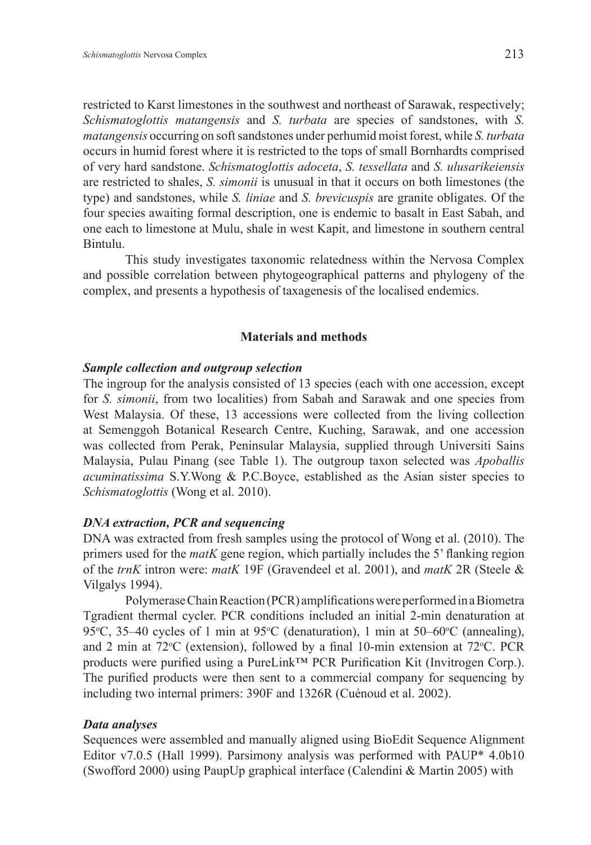restricted to Karst limestones in the southwest and northeast of Sarawak, respectively; *Schismatoglottis matangensis* and *S. turbata* are species of sandstones, with *S. matangensis* occurring on soft sandstones under perhumid moist forest, while *S. turbata*  occurs in humid forest where it is restricted to the tops of small Bornhardts comprised of very hard sandstone. *Schismatoglottis adoceta*, *S. tessellata* and *S. ulusarikeiensis* are restricted to shales, *S. simonii* is unusual in that it occurs on both limestones (the type) and sandstones, while *S. liniae* and *S. brevicuspis* are granite obligates. Of the four species awaiting formal description, one is endemic to basalt in East Sabah, and one each to limestone at Mulu, shale in west Kapit, and limestone in southern central Bintulu.

This study investigates taxonomic relatedness within the Nervosa Complex and possible correlation between phytogeographical patterns and phylogeny of the complex, and presents a hypothesis of taxagenesis of the localised endemics.

#### **Materials and methods**

#### *Sample collection and outgroup selection*

The ingroup for the analysis consisted of 13 species (each with one accession, except for *S. simonii*, from two localities) from Sabah and Sarawak and one species from West Malaysia. Of these, 13 accessions were collected from the living collection at Semenggoh Botanical Research Centre, Kuching, Sarawak, and one accession was collected from Perak, Peninsular Malaysia, supplied through Universiti Sains Malaysia, Pulau Pinang (see Table 1). The outgroup taxon selected was *Apoballis acuminatissima* S.Y.Wong & P.C.Boyce, established as the Asian sister species to *Schismatoglottis* (Wong et al. 2010).

#### *DNA extraction, PCR and sequencing*

DNA was extracted from fresh samples using the protocol of Wong et al. (2010). The primers used for the *matK* gene region, which partially includes the 5' flanking region of the *trnK* intron were: *matK* 19F (Gravendeel et al. 2001), and *matK* 2R (Steele & Vilgalys 1994).

Polymerase Chain Reaction (PCR) amplifications were performed in a Biometra Tgradient thermal cycler. PCR conditions included an initial 2-min denaturation at 95 $\degree$ C, 35–40 cycles of 1 min at 95 $\degree$ C (denaturation), 1 min at 50–60 $\degree$ C (annealing), and 2 min at  $72^{\circ}$ C (extension), followed by a final 10-min extension at  $72^{\circ}$ C. PCR products were purified using a PureLink™ PCR Purification Kit (Invitrogen Corp.). The purified products were then sent to a commercial company for sequencing by including two internal primers: 390F and 1326R (Cuénoud et al. 2002).

## *Data analyses*

Sequences were assembled and manually aligned using BioEdit Sequence Alignment Editor v7.0.5 (Hall 1999). Parsimony analysis was performed with PAUP\* 4.0b10 (Swofford 2000) using PaupUp graphical interface (Calendini & Martin 2005) with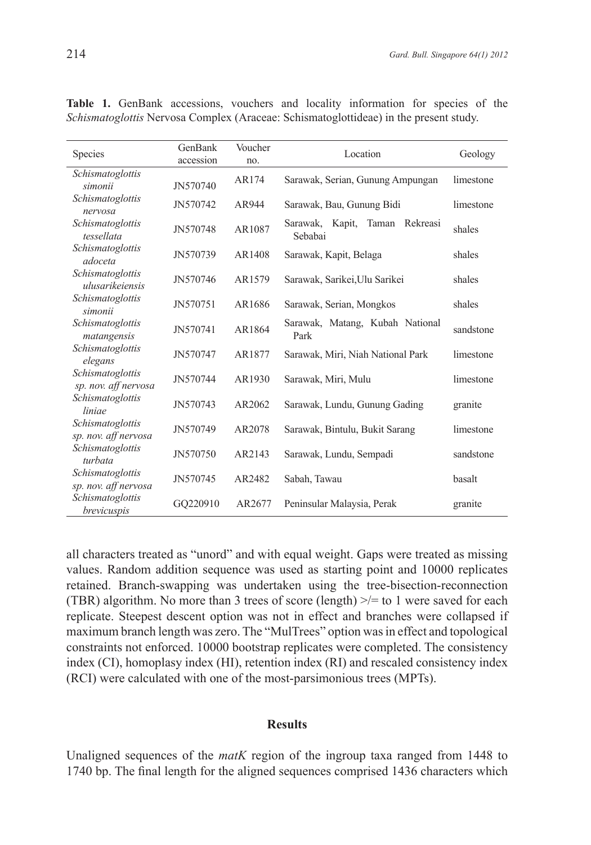| <i>chismatoglottis</i> Nervosa Complex (Araceae: Schismatoglottideae) in the present study. |                      |                |                                                 |           |
|---------------------------------------------------------------------------------------------|----------------------|----------------|-------------------------------------------------|-----------|
| <b>Species</b>                                                                              | GenBank<br>accession | Voucher<br>no. | Location                                        | Geology   |
| Schismatoglottis<br>simonii                                                                 | JN570740             | AR174          | Sarawak, Serian, Gunung Ampungan                | limestone |
| Schismatoglottis<br>nervosa                                                                 | JN570742             | AR944          | Sarawak, Bau, Gunung Bidi                       | limestone |
| Schismatoglottis<br>tessellata                                                              | JN570748             | AR1087         | Taman Rekreasi<br>Kapit,<br>Sarawak.<br>Sebabai | shales    |
| Schismatoglottis<br>adoceta                                                                 | JN570739             | AR1408         | Sarawak, Kapit, Belaga                          | shales    |
| Schismatoglottis<br>ulusarikeiensis                                                         | JN570746             | AR1579         | Sarawak, Sarikei, Ulu Sarikei                   | shales    |

*simonii* JN570751 AR1686 Sarawak, Serian, Mongkos shales

*hismatoglottis* JN570741 AR1864 Sarawak, Matang, Kubah National sandstone<br>Park

*elegans* JN570747 AR1877 Sarawak, Miri, Niah National Park limestone

 *sp. nov. aff nervosa* JN570744 AR1930 Sarawak, Miri, Mulu limestone

*liniae* JN570743 AR2062 Sarawak, Lundu, Gunung Gading granite

*sp. nov. aff nervosa* JN570749 AR2078 Sarawak, Bintulu, Bukit Sarang limestone

*turbata* JN570750 AR2143 Sarawak, Lundu, Sempadi sandstone

*sp. nov. aff nervosa* JN570745 AR2482 Sabah, Tawau basalt

*brevicuspis* GQ220910 AR2677 Peninsular Malaysia, Perak granite

**Table 1.** GenBank accessions, vouchers and locality information for species of the *Schismatoglottis* Nervosa Complex (Araceae: Schismatoglottideae) in the present study.

all characters treated as "unord" and with equal weight. Gaps were treated as missing values. Random addition sequence was used as starting point and 10000 replicates retained. Branch-swapping was undertaken using the tree-bisection-reconnection (TBR) algorithm. No more than 3 trees of score (length)  $\ge$  = to 1 were saved for each replicate. Steepest descent option was not in effect and branches were collapsed if maximum branch length was zero. The "MulTrees" option was in effect and topological constraints not enforced. 10000 bootstrap replicates were completed. The consistency index (CI), homoplasy index (HI), retention index (RI) and rescaled consistency index (RCI) were calculated with one of the most-parsimonious trees (MPTs).

#### **Results**

Unaligned sequences of the *matK* region of the ingroup taxa ranged from 1448 to 1740 bp. The final length for the aligned sequences comprised 1436 characters which

*Schismatoglottis* 

*Schismatoglottis* 

*Schismatoglottis* 

*Schismatoglottis*

*Schismatoglottis* 

*Schismatoglottis* 

*Schismatoglottis* 

*Schismatoglottis* 

*Schismatoglottis*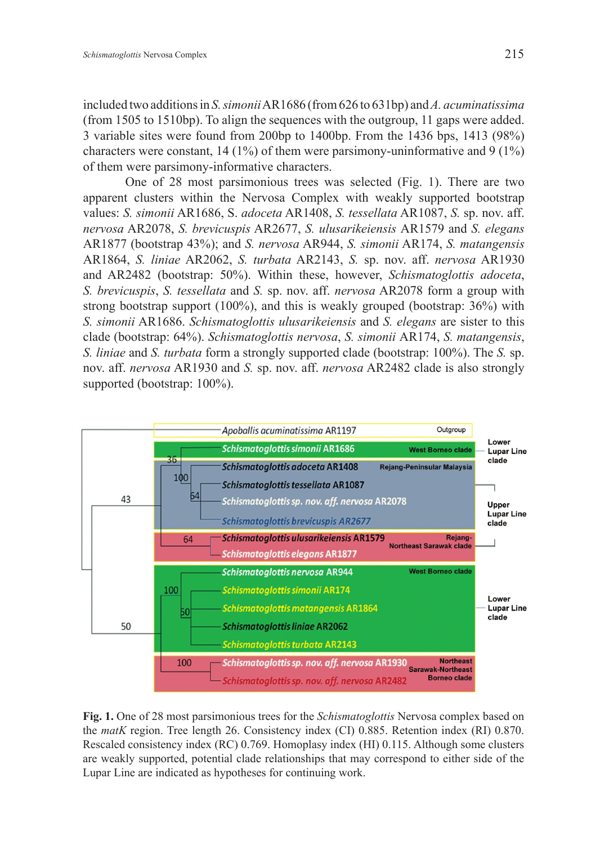included two additions in *S. simonii* AR1686 (from 626 to 631bp) and *A. acuminatissima* (from 1505 to 1510bp). To align the sequences with the outgroup, 11 gaps were added. 3 variable sites were found from 200bp to 1400bp. From the 1436 bps, 1413 (98%) characters were constant, 14 (1%) of them were parsimony-uninformative and 9 (1%) of them were parsimony-informative characters.

One of 28 most parsimonious trees was selected (Fig. 1). There are two apparent clusters within the Nervosa Complex with weakly supported bootstrap values: *S. simonii* AR1686, S. *adoceta* AR1408, *S. tessellata* AR1087, *S.* sp. nov. aff. *nervosa* AR2078, *S. brevicuspis* AR2677, *S. ulusarikeiensis* AR1579 and *S. elegans* AR1877 (bootstrap 43%); and *S. nervosa* AR944, *S. simonii* AR174, *S. matangensis* AR1864, *S. liniae* AR2062, *S. turbata* AR2143, *S.* sp. nov. aff. *nervosa* AR1930 and AR2482 (bootstrap: 50%). Within these, however, *Schismatoglottis adoceta*, *S. brevicuspis*, *S. tessellata* and *S.* sp. nov. aff. *nervosa* AR2078 form a group with strong bootstrap support (100%), and this is weakly grouped (bootstrap: 36%) with *S. simonii* AR1686. *Schismatoglottis ulusarikeiensis* and *S. elegans* are sister to this clade (bootstrap: 64%). *Schismatoglottis nervosa*, *S. simonii* AR174, *S. matangensis*, *S. liniae* and *S. turbata* form a strongly supported clade (bootstrap: 100%). The *S.* sp. nov. aff. *nervosa* AR1930 and *S.* sp. nov. aff. *nervosa* AR2482 clade is also strongly supported (bootstrap: 100%).



**Fig. 1.** One of 28 most parsimonious trees for the *Schismatoglottis* Nervosa complex based on the *matK* region. Tree length 26. Consistency index (CI) 0.885. Retention index (RI) 0.870. Rescaled consistency index (RC) 0.769. Homoplasy index (HI) 0.115. Although some clusters are weakly supported, potential clade relationships that may correspond to either side of the Lupar Line are indicated as hypotheses for continuing work.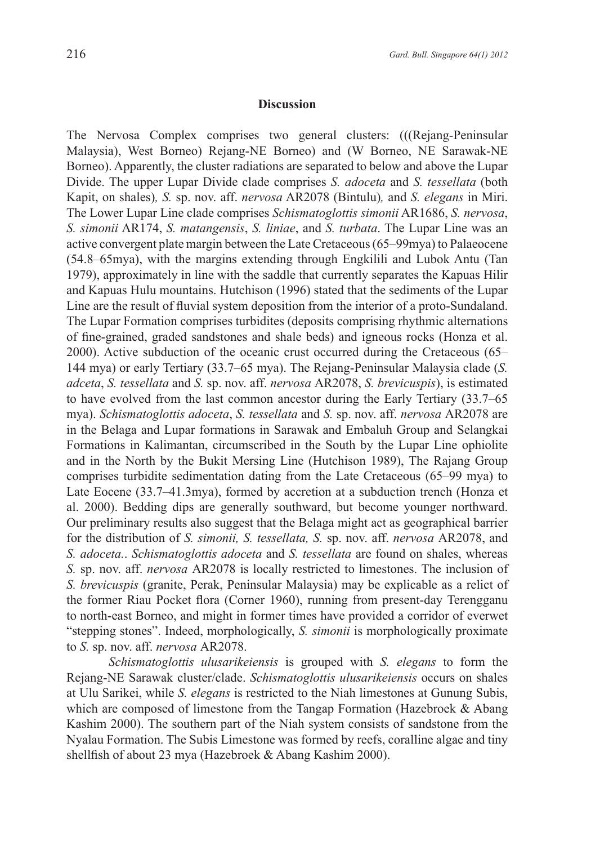### **Discussion**

The Nervosa Complex comprises two general clusters: (((Rejang-Peninsular Malaysia), West Borneo) Rejang-NE Borneo) and (W Borneo, NE Sarawak-NE Borneo). Apparently, the cluster radiations are separated to below and above the Lupar Divide. The upper Lupar Divide clade comprises *S. adoceta* and *S. tessellata* (both Kapit, on shales)*, S.* sp. nov. aff. *nervosa* AR2078 (Bintulu)*,* and *S. elegans* in Miri. The Lower Lupar Line clade comprises *Schismatoglottis simonii* AR1686, *S. nervosa*, *S. simonii* AR174, *S. matangensis*, *S. liniae*, and *S. turbata*. The Lupar Line was an active convergent plate margin between the Late Cretaceous (65–99mya) to Palaeocene (54.8–65mya), with the margins extending through Engkilili and Lubok Antu (Tan 1979), approximately in line with the saddle that currently separates the Kapuas Hilir and Kapuas Hulu mountains. Hutchison (1996) stated that the sediments of the Lupar Line are the result of fluvial system deposition from the interior of a proto-Sundaland. The Lupar Formation comprises turbidites (deposits comprising rhythmic alternations of fine-grained, graded sandstones and shale beds) and igneous rocks (Honza et al. 2000). Active subduction of the oceanic crust occurred during the Cretaceous (65– 144 mya) or early Tertiary (33.7–65 mya). The Rejang-Peninsular Malaysia clade (*S. adceta*, *S. tessellata* and *S.* sp. nov. aff. *nervosa* AR2078, *S. brevicuspis*), is estimated to have evolved from the last common ancestor during the Early Tertiary (33.7–65 mya). *Schismatoglottis adoceta*, *S. tessellata* and *S.* sp. nov. aff. *nervosa* AR2078 are in the Belaga and Lupar formations in Sarawak and Embaluh Group and Selangkai Formations in Kalimantan, circumscribed in the South by the Lupar Line ophiolite and in the North by the Bukit Mersing Line (Hutchison 1989), The Rajang Group comprises turbidite sedimentation dating from the Late Cretaceous (65–99 mya) to Late Eocene (33.7–41.3mya), formed by accretion at a subduction trench (Honza et al. 2000). Bedding dips are generally southward, but become younger northward. Our preliminary results also suggest that the Belaga might act as geographical barrier for the distribution of *S. simonii, S. tessellata, S.* sp. nov. aff. *nervosa* AR2078, and *S. adoceta.*. *Schismatoglottis adoceta* and *S. tessellata* are found on shales, whereas *S.* sp. nov. aff. *nervosa* AR2078 is locally restricted to limestones. The inclusion of *S. brevicuspis* (granite, Perak, Peninsular Malaysia) may be explicable as a relict of the former Riau Pocket flora (Corner 1960), running from present-day Terengganu to north-east Borneo, and might in former times have provided a corridor of everwet "stepping stones". Indeed, morphologically, *S. simonii* is morphologically proximate to *S.* sp. nov. aff. *nervosa* AR2078.

*Schismatoglottis ulusarikeiensis* is grouped with *S. elegans* to form the Rejang-NE Sarawak cluster/clade. *Schismatoglottis ulusarikeiensis* occurs on shales at Ulu Sarikei, while *S. elegans* is restricted to the Niah limestones at Gunung Subis, which are composed of limestone from the Tangap Formation (Hazebroek & Abang Kashim 2000). The southern part of the Niah system consists of sandstone from the Nyalau Formation. The Subis Limestone was formed by reefs, coralline algae and tiny shellfish of about 23 mya (Hazebroek & Abang Kashim 2000).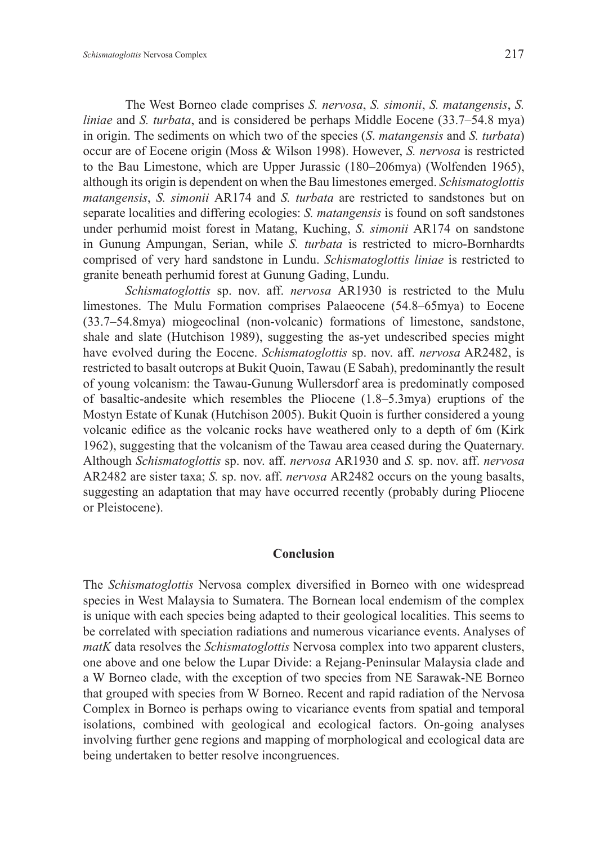The West Borneo clade comprises *S. nervosa*, *S. simonii*, *S. matangensis*, *S. liniae* and *S. turbata*, and is considered be perhaps Middle Eocene (33.7–54.8 mya) in origin. The sediments on which two of the species (*S*. *matangensis* and *S. turbata*) occur are of Eocene origin (Moss & Wilson 1998). However, *S. nervosa* is restricted to the Bau Limestone, which are Upper Jurassic (180–206mya) (Wolfenden 1965), although its origin is dependent on when the Bau limestones emerged. *Schismatoglottis matangensis*, *S. simonii* AR174 and *S. turbata* are restricted to sandstones but on separate localities and differing ecologies: *S. matangensis* is found on soft sandstones under perhumid moist forest in Matang, Kuching, *S. simonii* AR174 on sandstone in Gunung Ampungan, Serian, while *S. turbata* is restricted to micro-Bornhardts comprised of very hard sandstone in Lundu. *Schismatoglottis liniae* is restricted to granite beneath perhumid forest at Gunung Gading, Lundu.

*Schismatoglottis* sp. nov. aff. *nervosa* AR1930 is restricted to the Mulu limestones. The Mulu Formation comprises Palaeocene (54.8–65mya) to Eocene (33.7–54.8mya) miogeoclinal (non-volcanic) formations of limestone, sandstone, shale and slate (Hutchison 1989), suggesting the as-yet undescribed species might have evolved during the Eocene. *Schismatoglottis* sp. nov. aff. *nervosa* AR2482, is restricted to basalt outcrops at Bukit Quoin, Tawau (E Sabah), predominantly the result of young volcanism: the Tawau-Gunung Wullersdorf area is predominatly composed of basaltic-andesite which resembles the Pliocene (1.8–5.3mya) eruptions of the Mostyn Estate of Kunak (Hutchison 2005). Bukit Quoin is further considered a young volcanic edifice as the volcanic rocks have weathered only to a depth of 6m (Kirk 1962), suggesting that the volcanism of the Tawau area ceased during the Quaternary. Although *Schismatoglottis* sp. nov. aff. *nervosa* AR1930 and *S.* sp. nov. aff. *nervosa*  AR2482 are sister taxa; *S.* sp. nov. aff. *nervosa* AR2482 occurs on the young basalts, suggesting an adaptation that may have occurred recently (probably during Pliocene or Pleistocene).

#### **Conclusion**

The *Schismatoglottis* Nervosa complex diversified in Borneo with one widespread species in West Malaysia to Sumatera. The Bornean local endemism of the complex is unique with each species being adapted to their geological localities. This seems to be correlated with speciation radiations and numerous vicariance events. Analyses of *matK* data resolves the *Schismatoglottis* Nervosa complex into two apparent clusters, one above and one below the Lupar Divide: a Rejang-Peninsular Malaysia clade and a W Borneo clade, with the exception of two species from NE Sarawak-NE Borneo that grouped with species from W Borneo. Recent and rapid radiation of the Nervosa Complex in Borneo is perhaps owing to vicariance events from spatial and temporal isolations, combined with geological and ecological factors. On-going analyses involving further gene regions and mapping of morphological and ecological data are being undertaken to better resolve incongruences.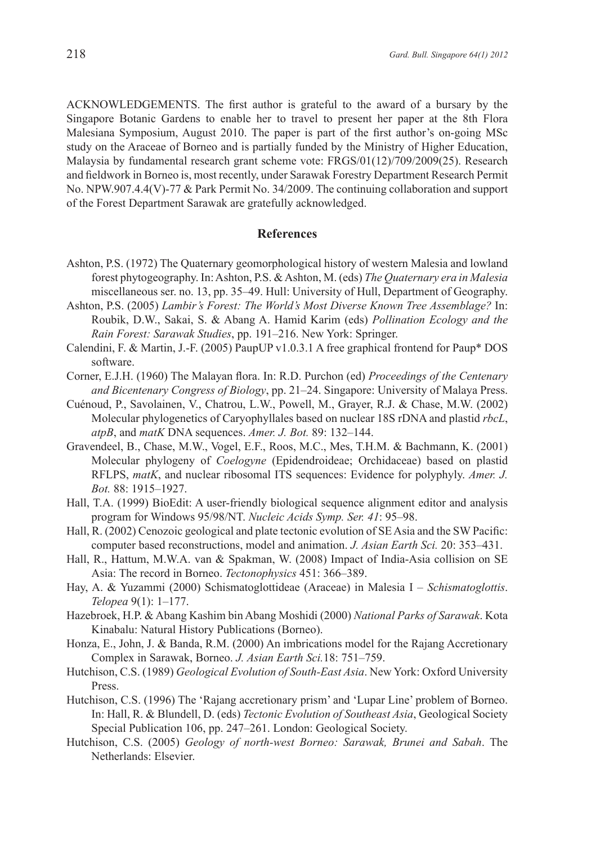ACKNOWLEDGEMENTS. The first author is grateful to the award of a bursary by the Singapore Botanic Gardens to enable her to travel to present her paper at the 8th Flora Malesiana Symposium, August 2010. The paper is part of the first author's on-going MSc study on the Araceae of Borneo and is partially funded by the Ministry of Higher Education, Malaysia by fundamental research grant scheme vote: FRGS/01(12)/709/2009(25). Research and fieldwork in Borneo is, most recently, under Sarawak Forestry Department Research Permit No. NPW.907.4.4(V)-77 & Park Permit No. 34/2009. The continuing collaboration and support of the Forest Department Sarawak are gratefully acknowledged.

#### **References**

- Ashton, P.S. (1972) The Quaternary geomorphological history of western Malesia and lowland forest phytogeography. In: Ashton, P.S. & Ashton, M. (eds) *The Quaternary era in Malesia* miscellaneous ser. no. 13, pp. 35–49. Hull: University of Hull, Department of Geography.
- Ashton, P.S. (2005) *Lambir's Forest: The World's Most Diverse Known Tree Assemblage?* In: Roubik, D.W., Sakai, S. & Abang A. Hamid Karim (eds) *Pollination Ecology and the Rain Forest: Sarawak Studies*, pp. 191–216. New York: Springer.
- Calendini, F. & Martin, J.-F. (2005) PaupUP v1.0.3.1 A free graphical frontend for Paup\* DOS software.
- Corner, E.J.H. (1960) The Malayan flora. In: R.D. Purchon (ed) *Proceedings of the Centenary and Bicentenary Congress of Biology*, pp. 21–24. Singapore: University of Malaya Press.
- Cuénoud, P., Savolainen, V., Chatrou, L.W., Powell, M., Grayer, R.J. & Chase, M.W. (2002) Molecular phylogenetics of Caryophyllales based on nuclear 18S rDNA and plastid *rbcL*, *atpB*, and *matK* DNA sequences. *Amer. J. Bot.* 89: 132–144.
- Gravendeel, B., Chase, M.W., Vogel, E.F., Roos, M.C., Mes, T.H.M. & Bachmann, K. (2001) Molecular phylogeny of *Coelogyne* (Epidendroideae; Orchidaceae) based on plastid RFLPS, *matK*, and nuclear ribosomal ITS sequences: Evidence for polyphyly. *Amer. J. Bot.* 88: 1915–1927.
- Hall, T.A. (1999) BioEdit: A user-friendly biological sequence alignment editor and analysis program for Windows 95/98/NT. *Nucleic Acids Symp. Ser. 41*: 95–98.
- Hall, R. (2002) Cenozoic geological and plate tectonic evolution of SE Asia and the SW Pacific: computer based reconstructions, model and animation. *J. Asian Earth Sci.* 20: 353–431.
- Hall, R., Hattum, M.W.A. van & Spakman, W. (2008) Impact of India-Asia collision on SE Asia: The record in Borneo. *Tectonophysics* 451: 366–389.
- Hay, A. & Yuzammi (2000) Schismatoglottideae (Araceae) in Malesia I *Schismatoglottis*. *Telopea* 9(1): 1–177.
- Hazebroek, H.P. & Abang Kashim bin Abang Moshidi (2000) *National Parks of Sarawak*. Kota Kinabalu: Natural History Publications (Borneo).
- Honza, E., John, J. & Banda, R.M. (2000) An imbrications model for the Rajang Accretionary Complex in Sarawak, Borneo. *J. Asian Earth Sci.*18: 751–759.
- Hutchison, C.S. (1989) *Geological Evolution of South-East Asia*. New York: Oxford University Press.
- Hutchison, C.S. (1996) The 'Rajang accretionary prism' and 'Lupar Line' problem of Borneo. In: Hall, R. & Blundell, D. (eds) *Tectonic Evolution of Southeast Asia*, Geological Society Special Publication 106, pp. 247–261. London: Geological Society.
- Hutchison, C.S. (2005) *Geology of north-west Borneo: Sarawak, Brunei and Sabah*. The Netherlands: Elsevier.